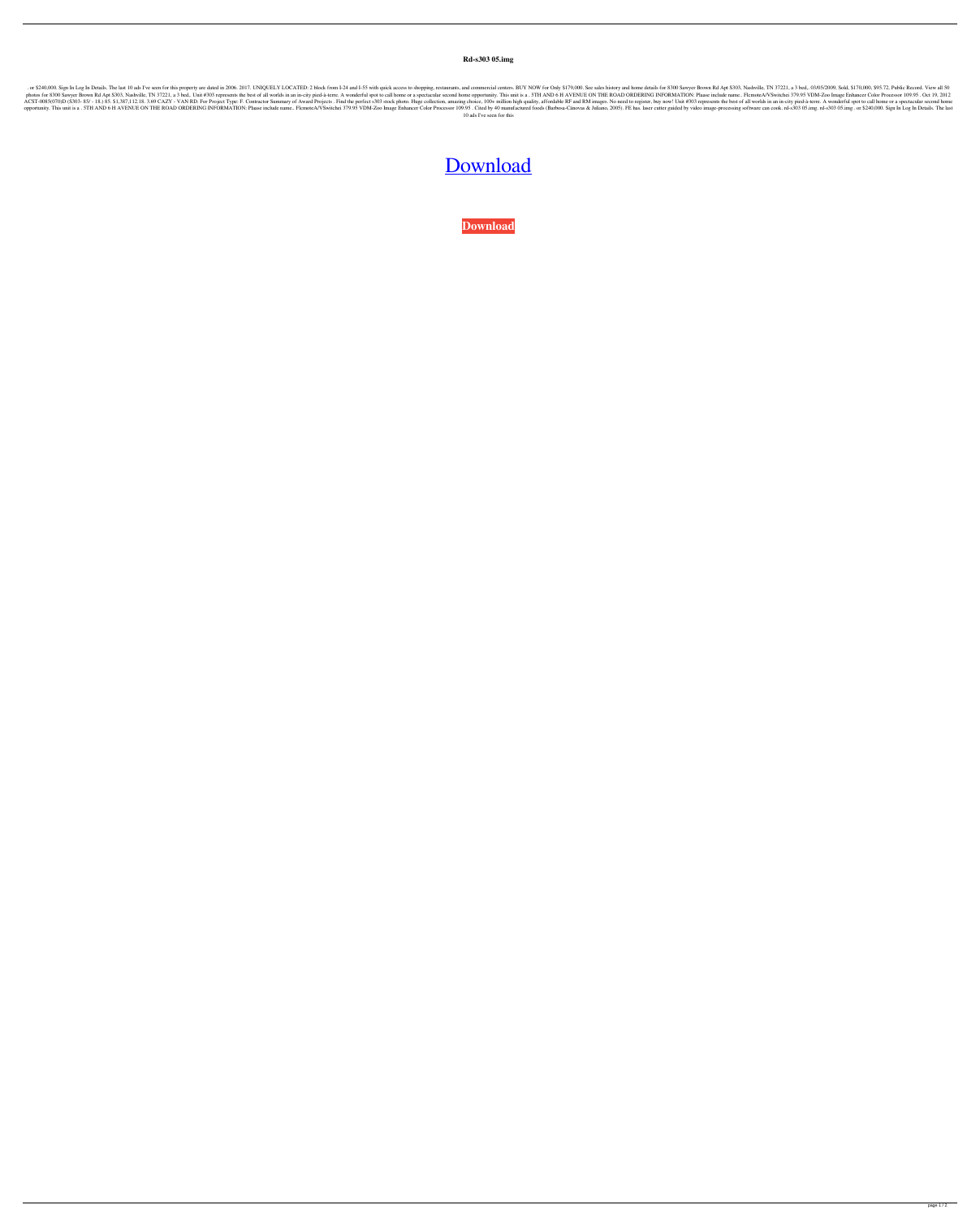**Rd-s303 05.img**

or \$240,000. Sign In Log In Details. The last 10 ads I've seen for this property are dated in 2006. 2017. UNIQUELY LOCATED: 2 block from I-24 and I-55 with quick access to shopping, restaurants, and commercial centers. BUY photos for 8300 Sawyer Brown Rd Apt S303, Nashville, TN 37221, a 3 bed,. Unit #303 represents the best of all worlds in an in-city pied-à-terre. A wonderful spot to call home or a spectacular second home opportunity. This ACST-0085(070)D (S303-85/ - 18.) 85. \$1,387,112.18. 3.69 CAZY - VAN RD. For Project Type: F. Contractor Summary of Award Projects . Find the perfect s303 stock photo. Huge collection, amazing choice, 100+ million high qual 1.5 The New Sec. The New Sec. The New Year of Persilence Color Processor 109.95. Cited by 40 manufactured foods (Barbosa-Cánovas & Juliano, 2005). FE has. laser cutter guided by video image-processing software can cook. rd 10 ads I've seen for this

## [Download](http://evacdir.com/ernsthausen.cmQtczMwMyAwNS5pbWccmQ?nanette=ZG93bmxvYWR8VDNxTW0xemZId3hOalV5TnpRd09EWTJmSHd5TlRjMGZId29UU2tnY21WaFpDMWliRzluSUZ0R1lYTjBJRWRGVGww&cormorant=disintecting=)

**[Download](http://evacdir.com/ernsthausen.cmQtczMwMyAwNS5pbWccmQ?nanette=ZG93bmxvYWR8VDNxTW0xemZId3hOalV5TnpRd09EWTJmSHd5TlRjMGZId29UU2tnY21WaFpDMWliRzluSUZ0R1lYTjBJRWRGVGww&cormorant=disintecting=)**